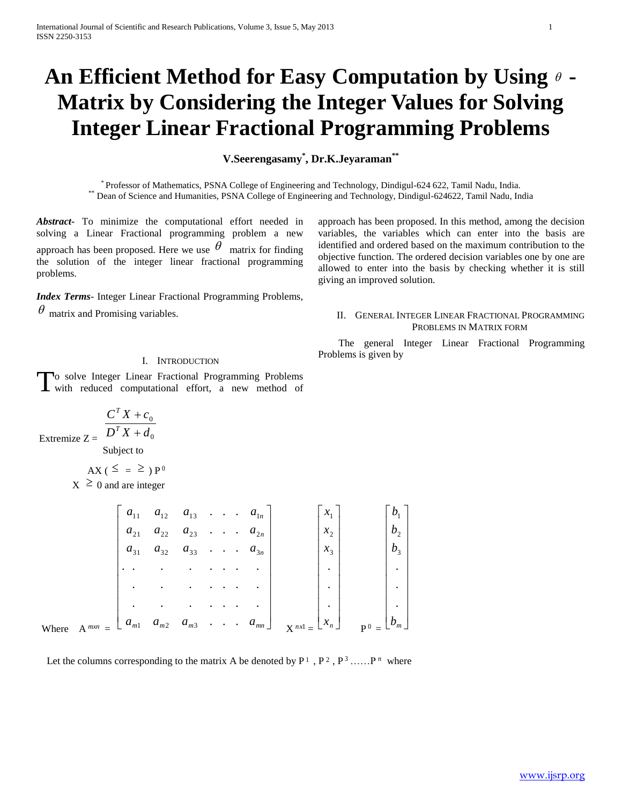# **An Efficient Method for Easy Computation by Using - Matrix by Considering the Integer Values for Solving Integer Linear Fractional Programming Problems**

**V.Seerengasamy\* , Dr.K.Jeyaraman\*\***

\* Professor of Mathematics, PSNA College of Engineering and Technology, Dindigul-624 622, Tamil Nadu, India. \*\* Dean of Science and Humanities, PSNA College of Engineering and Technology, Dindigul-624622, Tamil Nadu, India

*Abstract***-** To minimize the computational effort needed in solving a Linear Fractional programming problem a new approach has been proposed. Here we use  $\theta$  matrix for finding the solution of the integer linear fractional programming problems.

*Index Terms*- Integer Linear Fractional Programming Problems,  $\theta$  matrix and Promising variables.

approach has been proposed. In this method, among the decision variables, the variables which can enter into the basis are identified and ordered based on the maximum contribution to the objective function. The ordered decision variables one by one are allowed to enter into the basis by checking whether it is still giving an improved solution.

## II. GENERAL INTEGER LINEAR FRACTIONAL PROGRAMMING PROBLEMS IN MATRIX FORM

 The general Integer Linear Fractional Programming Problems is given by

## I. INTRODUCTION

To solve Integer Linear Fractional Programming Problems To solve Integer Linear Fractional Programming Problems<br>with reduced computational effort, a new method of

$$
\frac{C^T X + c_0}{D^T X + d}
$$

Extremize  $Z = \left[ \begin{array}{cc} D^T X + d_0 \end{array} \right]$ Subject to

$$
AX\left(\leq\right) = \geq \left.\right)P^{0}
$$

 $X \geq 0$  and are integer

|              | $a_{11}$ | $a_{12}$             | $a_{13}$             | $\sim$ $\sim$        |                  | $\sim$                           | $a_{1n}$                    | $\mathcal{X}_1$      | $\n  D1\n$            |  |
|--------------|----------|----------------------|----------------------|----------------------|------------------|----------------------------------|-----------------------------|----------------------|-----------------------|--|
|              | $a_{21}$ | $a_{22}$             | $a_{23}$             |                      |                  | $\ddot{\phantom{a}}$             | $a_{2n}$                    | $x_2$                | b <sub>2</sub>        |  |
|              | $a_{31}$ | $a_{32}$             | $a_{33}$             | $\ddot{\phantom{0}}$ |                  | $\sim$ $\sim$                    | $a_{3n}$                    | $x_3$                | b <sub>3</sub>        |  |
|              |          | $\ddot{\phantom{0}}$ | $\bullet$            |                      |                  |                                  | $\mathcal{L}^{\text{max}}$  | $\ddot{\phantom{0}}$ | $\bullet$             |  |
|              |          | $\sim$               | $\ddot{\phantom{0}}$ |                      |                  |                                  |                             | $\bullet$            | $\ddot{\phantom{a}}$  |  |
|              |          |                      |                      |                      |                  |                                  |                             | ٠                    | $\bullet$             |  |
| $\Delta$ mxn | $a_{m1}$ | $a_{m2}$             | $a_{m3}$             | $\blacksquare$ .     | $\blacksquare$ . | $\bullet$ . The set of $\bullet$ | $a_{\scriptscriptstyle mn}$ | $x_{n}$<br>nx1       | $\lfloor b_m \rfloor$ |  |
|              |          |                      |                      |                      |                  |                                  |                             |                      |                       |  |

Where  $\beta$  $\binom{m}{k}$  =

Let the columns corresponding to the matrix A be denoted by  $P^1$ ,  $P^2$ ,  $P^3$ , .....,  $P^n$  where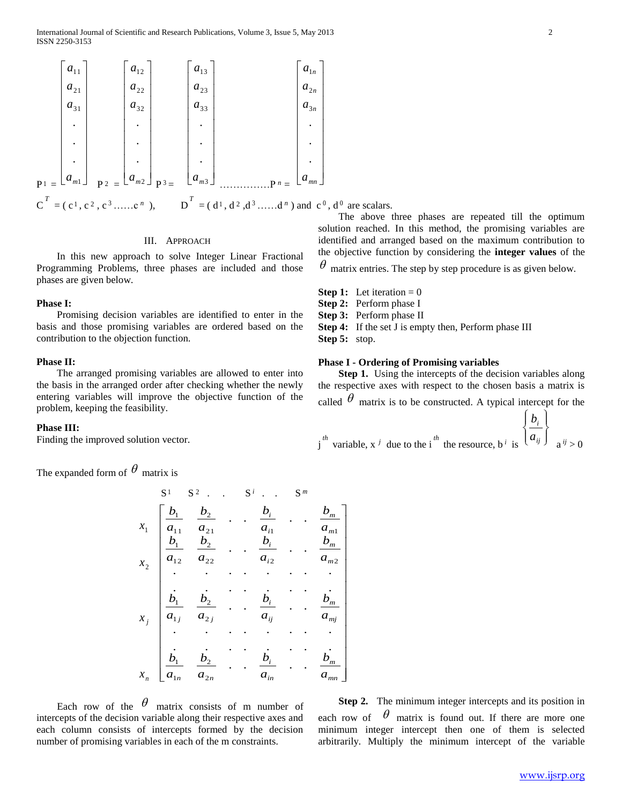$$
P_{1} = \begin{bmatrix} a_{11} \\ a_{21} \\ a_{31} \\ \vdots \\ a_{m1} \end{bmatrix} \begin{bmatrix} a_{12} \\ a_{22} \\ \vdots \\ a_{32} \\ \vdots \\ a_{m2} \end{bmatrix} \begin{bmatrix} a_{13} \\ a_{23} \\ \vdots \\ a_{33} \\ \vdots \\ a_{m3} \end{bmatrix} \begin{bmatrix} a_{13} \\ a_{23} \\ \vdots \\ a_{33} \\ \vdots \\ a_{3n} \end{bmatrix}
$$
  
\n
$$
P_{1} = \begin{bmatrix} a_{nn} \\ a_{2n} \\ \vdots \\ a_{mn} \end{bmatrix} \begin{bmatrix} a_{1n} \\ a_{2n} \\ \vdots \\ a_{3n} \\ \vdots \\ a_{mn} \end{bmatrix}
$$
  
\n
$$
C^{T} = (c^{1}, c^{2}, c^{3} \dots c^{n}), \qquad D^{T} = (d^{1}, d^{2}, d^{3} \dots d^{n}) \text{ and } c^{0}, d^{n}
$$

## III. APPROACH

In this new approach to solve Integer Linear Fractional Programming Problems, three phases are included and those phases are given below.

#### **Phase I:**

Promising decision variables are identified to enter in the basis and those promising variables are ordered based on the contribution to the objection function.

## **Phase II:**

The arranged promising variables are allowed to enter into the basis in the arranged order after checking whether the newly entering variables will improve the objective function of the problem, keeping the feasibility.

#### **Phase III:**

Finding the improved solution vector.

The expanded form of  $\theta$  matrix is

 S <sup>1</sup> S <sup>2</sup> . . S *i* . . S *m n j x x x x* 2 1 *mn m in i n n mj m ij i j j m m i i m m i i a b a b a b a b a b a b a b a b a b a b a b a b a b a b a b a b* . . . . . . . . . . . . . . . . . . . . . . . . . . . . . . . . . . . . . . . . . . . . . . . . 2 2 1 1 2 2 1 1 2 2 <sup>2</sup> <sup>2</sup> 2 1 2 1 2 1 <sup>1</sup> <sup>1</sup> 2 1 1 1

Each row of the  $\theta$  matrix consists of m number of intercepts of the decision variable along their respective axes and each column consists of intercepts formed by the decision number of promising variables in each of the m constraints.

**Step 2.** The minimum integer intercepts and its position in each row of  $\theta$  matrix is found out. If there are more one minimum integer intercept then one of them is selected arbitrarily. Multiply the minimum intercept of the variable

,  $d^0$  are scalars.

The above three phases are repeated till the optimum solution reached. In this method, the promising variables are identified and arranged based on the maximum contribution to the objective function by considering the **integer values** of the

 $\theta$  matrix entries. The step by step procedure is as given below.

- **Step 1:** Let iteration  $= 0$ **Step 2:** Perform phase I
- **Step 3:** Perform phase II
- **Step 4:** If the set J is empty then, Perform phase III

**Step 5:** stop.

## **Phase I - Ordering of Promising variables**

Step 1. Using the intercepts of the decision variables along the respective axes with respect to the chosen basis a matrix is called  $\theta$  matrix is to be constructed. A typical intercept for the

$$
j^{th}
$$
 variable,  $x^{j}$  due to the i<sup>th</sup> the resource,  $b^{i}$  is  $\begin{Bmatrix} b_{i} \\ a_{ij} \end{Bmatrix}$  a<sup>*ij*</sup> > 0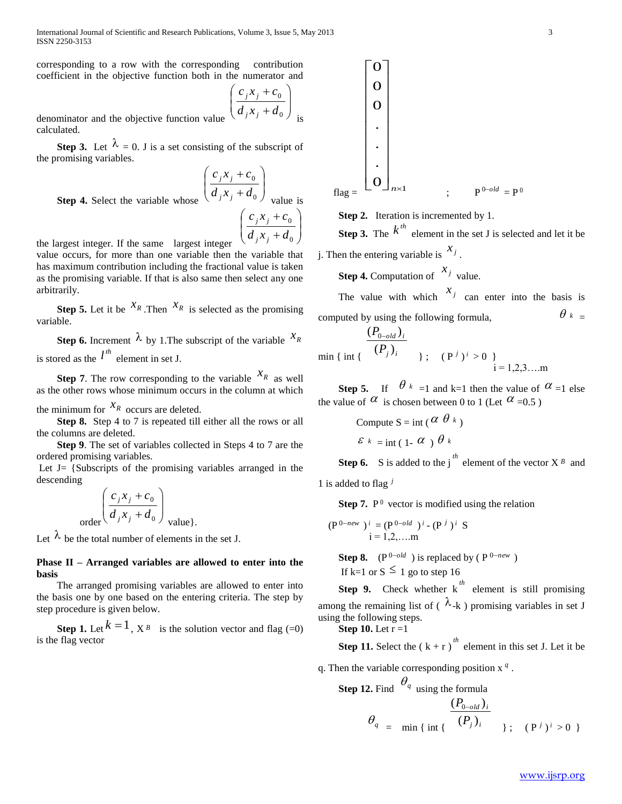International Journal of Scientific and Research Publications, Volume 3, Issue 5, May 2013 3 ISSN 2250-3153

corresponding to a row with the corresponding contribution coefficient in the objective function both in the numerator and

$$
\left(\frac{c_j x_j + c_0}{d_j x_j + d_0}\right)_{\text{is}}
$$

 $\mathsf{I}$ 

 $\overline{\phantom{a}}$ 

denominator and the objective function value calculated.

**Step 3.** Let  $\lambda = 0$ . J is a set consisting of the subscript of the promising variables.

**Step 4.** Select the variable whose 
$$
\left(\frac{c_j x_j + c_0}{d_j x_j + d_0}\right)
$$
 value is  $\left(\frac{c_j x_j + c_0}{d_j x_j + d_0}\right)$ 

the largest integer. If the same largest integer J  $\left(d_j x_j + d_0\right)$ value occurs, for more than one variable then the variable that has maximum contribution including the fractional value is taken as the promising variable. If that is also same then select any one arbitrarily.

**Step 5.** Let it be  $X_R$ . Then  $X_R$  is selected as the promising variable.

**Step 6.** Increment  $\lambda$  by 1. The subscript of the variable  $x_R$ is stored as the  $l^{th}$  element in set J.

**Step 7**. The row corresponding to the variable  $X_R$  as well as the other rows whose minimum occurs in the column at which

the minimum for  $x_R$  occurs are deleted.

**Step 8.** Step 4 to 7 is repeated till either all the rows or all the columns are deleted.

 **Step 9**. The set of variables collected in Steps 4 to 7 are the ordered promising variables.

Let  $J = \{Subscripts \text{ of the promising variables arranged in the } \}$ descending

$$
\left(\frac{c_j x_j + c_0}{d_j x_j + d_0}\right)_{\text{value}}.
$$

Let  $\lambda$  be the total number of elements in the set J.

## **Phase II – Arranged variables are allowed to enter into the basis**

The arranged promising variables are allowed to enter into the basis one by one based on the entering criteria. The step by step procedure is given below.

**Step 1.** Let  $k = 1$ ,  $X^B$  is the solution vector and flag (=0) is the flag vector

$$
\begin{bmatrix}\n0 \\
0 \\
\vdots \\
0\n\end{bmatrix}
$$
\n
$$
\vdots
$$
\n
$$
\begin{bmatrix}\n0 \\
0 \\
\vdots \\
0\n\end{bmatrix}
$$
\n
$$
n \times 1
$$
\n
$$
\vdots
$$
\n
$$
P^{0-old} = P^0
$$

**Step 2.** Iteration is incremented by 1.

**Step 3.** The  $k^{th}$  element in the set J is selected and let it be j. Then the entering variable is  $x_j$ .

**Step 4.** Computation of  $x_j$  value.

The value with which  $x_j$  can enter into the basis is computed by using the following formula,  $\theta_k$  =

 $\min \{ \int_{i}^{i} (P_j)_i \}$ ;  $(P_j)^i > 0$  $(P_{0-old})_{i}$  $i = 1, 2, 3, \dots$ m

**Step 5.** If  $\theta_k = 1$  and k=1 then the value of  $\alpha = 1$  else the value of  $\alpha$  is chosen between 0 to 1 (Let  $\alpha$  =0.5)

Compute 
$$
S = \text{int}(\alpha \theta_k)
$$
  
 $\varepsilon_k = \text{int}(\alpha_k) \theta_k$ 

**Step 6.** S is added to the j<sup>th</sup> element of the vector  $X^B$  and

1 is added to flag *j*

**Step 7.**  $P^0$  vector is modified using the relation

$$
(\mathbf{P}^{0-new})^i = (\mathbf{P}^{0-old})^i - (\mathbf{P}^j)^i \mathbf{S}
$$
  
i = 1,2,...m

**Step 8.** ( $P^{0-old}$ ) is replaced by ( $P^{0-new}$ ) If k=1 or  $S \leq 1$  go to step 16

**Step 9.** Check whether  $k^{th}$  element is still promising among the remaining list of ( $\lambda$ -k) promising variables in set J using the following steps.

**Step 10.** Let  $r = 1$ 

**Step 11.** Select the  $(k + r)^{th}$  element in this set J. Let it be

q. Then the variable corresponding position x *q* .

**Step 12.** Find  $\theta_q$  using the formula

$$
\theta_{q} = \min \{ \text{ int } \{ \frac{(P_{0-old})_i}{(P_j)_i} \} ; \quad (P^j)^i > 0 \}
$$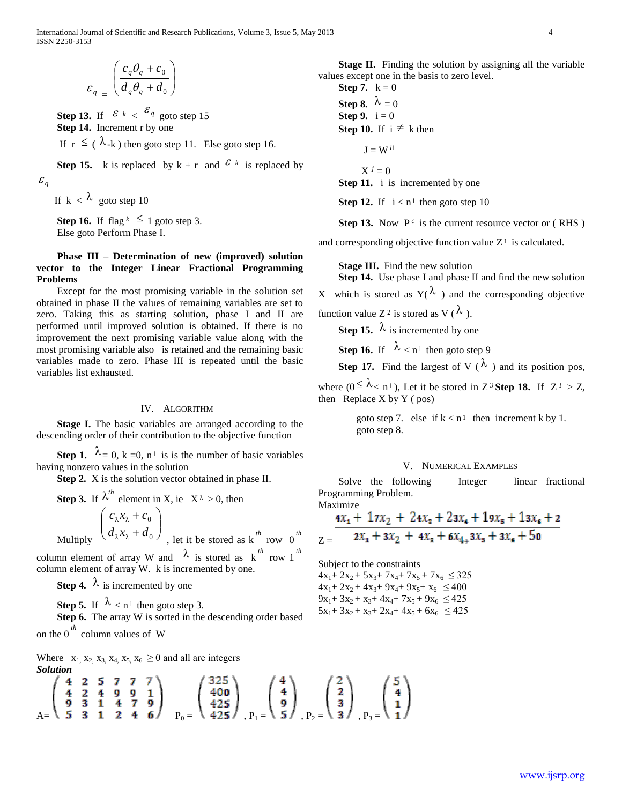$$
\varepsilon_q \equiv \left( \frac{c_q \theta_q + c_0}{d_q \theta_q + d_0} \right)
$$

**Step 13.** If  $\left| \begin{array}{cc} \varepsilon & \varepsilon \\ \end{array} \right| \times \left| \begin{array}{cc} \varepsilon \\ \end{array} \right|$  goto step 15 **Step 14.** Increment r by one If  $r \leq (\lambda_{-k})$  then goto step 11. Else goto step 16.

**Step 15.** k is replaced by  $k + r$  and  $\mathcal{E}^k$  is replaced by  $\mathcal{E}_q$ 

If  $k < \lambda$  goto step 10

**Step 16.** If flag  $k \leq 1$  goto step 3. Else goto Perform Phase I.

## **Phase III – Determination of new (improved) solution vector to the Integer Linear Fractional Programming Problems**

Except for the most promising variable in the solution set obtained in phase II the values of remaining variables are set to zero. Taking this as starting solution, phase I and II are performed until improved solution is obtained. If there is no improvement the next promising variable value along with the most promising variable also is retained and the remaining basic variables made to zero. Phase III is repeated until the basic variables list exhausted.

#### IV. ALGORITHM

 **Stage I.** The basic variables are arranged according to the descending order of their contribution to the objective function

**Step 1.**  $\lambda = 0$ ,  $k = 0$ ,  $n^1$  is is the number of basic variables having nonzero values in the solution

 **Step 2.** X is the solution vector obtained in phase II.

**Step 3.** If 
$$
\lambda^{th}
$$
 element in X, ie  $X^{\lambda} > 0$ , then  
\n
$$
\left( \frac{c_{\lambda}x_{\lambda} + c_0}{d_{\lambda}x_{\lambda} + d_0} \right)_{\lambda}
$$
 let it be stored as k<sup>th</sup> row 0<sup>th</sup>

column element of array W and  $\lambda$  is stored as  $k^{th}$  row 1<sup>th</sup> column element of array W. k is incremented by one.

**Step 4.**  $\lambda$  is incremented by one

**Step 5.** If  $\lambda < n^1$  then goto step 3.

**Step 6.** The array W is sorted in the descending order based

on the 0 *th* column values of W

Where  $x_1, x_2, x_3, x_4, x_5, x_6 \ge 0$  and all are integers *Solution*

$$
\begin{pmatrix}\n4 & 2 & 5 & 7 & 7 & 7 \\
4 & 2 & 4 & 9 & 9 & 1 \\
9 & 3 & 1 & 4 & 7 & 9 \\
5 & 3 & 1 & 2 & 4 & 6\n\end{pmatrix}\n\quad\nP_0 =\n\begin{pmatrix}\n325 \\
400 \\
425\n\end{pmatrix}\n\quad\nP_1 =\n\begin{pmatrix}\n4 \\
4 \\
9\n\end{pmatrix}\n\quad\nP_2 =\n\begin{pmatrix}\n2 \\
2 \\
3 \\
3\n\end{pmatrix}\n\quad\nP_3 =\n\begin{pmatrix}\n5 \\
4 \\
1\n\end{pmatrix}
$$

 **Stage II.** Finding the solution by assigning all the variable values except one in the basis to zero level.

**Step 7.**  $k = 0$ **Step 8.**  $\lambda = 0$ **Step 9.**  $i = 0$ **Step 10.** If  $i \neq k$  then  $J = W^{i1}$ 

 $X^{j} = 0$ 

**Step 11.** i is incremented by one

**Step 12.** If  $i < n^1$  then goto step 10

**Step 13.** Now  $P^c$  is the current resource vector or (RHS)

and corresponding objective function value  $Z^1$  is calculated.

 **Stage III.** Find the new solution

 **Step 14.** Use phase I and phase II and find the new solution X which is stored as  $Y(\lambda)$  and the corresponding objective

function value Z<sup>2</sup> is stored as V ( $\lambda$ ).

**Step 15.**  $\lambda$  is incremented by one

**Step 16.** If  $\lambda < n^1$  then goto step 9

**Step 17.** Find the largest of V ( $\lambda$ ) and its position pos,

where  $(0 \le \lambda < n^1)$ , Let it be stored in Z<sup>3</sup> Step 18. If  $Z^3 > Z$ , then Replace X by Y ( $pos$ )

goto step 7. else if  $k < n<sup>1</sup>$  then increment k by 1. goto step 8.

#### V. NUMERICAL EXAMPLES

Solve the following Integer linear fractional Programming Problem. Maximize

$$
\frac{4x_1 + 17x_2 + 24x_3 + 23x_4 + 19x_5 + 13x_6 + 2}{2x_1 + 3x_2 + 4x_3 + 6x_{4+}3x_5 + 3x_6 + 50}
$$

Subject to the constraints

 $4x_1+ 2x_2+ 5x_3+ 7x_4+ 7x_5+ 7x_6 \leq 325$  $4x_1+ 2x_2+ 4x_3+ 9x_4+ 9x_5+ x_6 \le 400$  $9x_1+ 3x_2+ x_3+ 4x_4+ 7x_5+ 9x_6 \leq 425$  $5x_1+ 3x_2 + x_3+ 2x_4+ 4x_5 + 6x_6 \leq 425$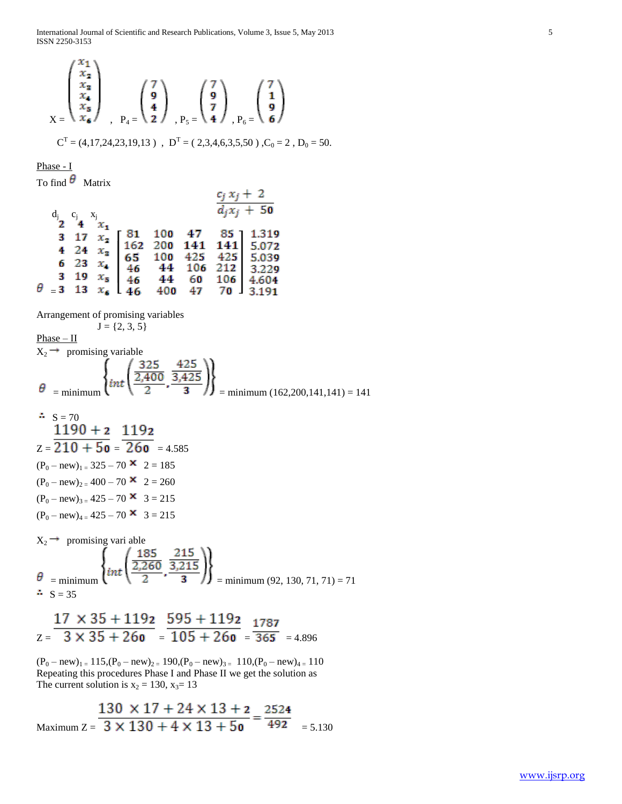International Journal of Scientific and Research Publications, Volume 3, Issue 5, May 2013 5 ISSN 2250-3153

$$
\begin{pmatrix}\nx_1 \\
x_2 \\
x_3 \\
x_4 \\
x_5\n\end{pmatrix}_{P_4} = \begin{pmatrix}\n7 \\
9 \\
4\n\end{pmatrix}_{P_5} = \begin{pmatrix}\n7 \\
9 \\
4\n\end{pmatrix}_{P_6} = \begin{pmatrix}\n7 \\
9 \\
6\n\end{pmatrix}
$$
\n
$$
C^{T} = (4,17,24,23,19,13) , D^{T} = (2,3,4,6,3,5,50) , C_0 = 2 , D_0 = 50.
$$

Phase - I

To find  $\theta$  Matrix

| $\begin{matrix} d_{j} & c_{j} & x_{j} \\ 2 & 4 & x_{1} \end{matrix}$ |  |  | $c_j x_j + 2$ | $\overline{d_i x_i + 50}$                                                                                                                                                                                                                                                                                             |
|----------------------------------------------------------------------|--|--|---------------|-----------------------------------------------------------------------------------------------------------------------------------------------------------------------------------------------------------------------------------------------------------------------------------------------------------------------|
|                                                                      |  |  |               |                                                                                                                                                                                                                                                                                                                       |
|                                                                      |  |  |               |                                                                                                                                                                                                                                                                                                                       |
|                                                                      |  |  |               |                                                                                                                                                                                                                                                                                                                       |
|                                                                      |  |  |               | $\begin{array}{ccccccccc}\n & 3 & 17 & x_1 & 81 & 100 & 47 & 85 & 1.319 \\  & 4 & 24 & x_2 & 162 & 200 & 141 & 141 & 5.072 \\  & 6 & 23 & x_4 & 65 & 100 & 425 & 425 & 5.039 \\  & 3 & 19 & x_5 & 46 & 44 & 106 & 212 & 3.229 \\  & & 46 & 44 & 60 & 106 & 4.604 \\ \theta = & 3 & 13 & x_6 & 46 & 400 & 47 & 70 & 3$ |

Arrangement of promising variables

$$
J = \{2, 3, 5\}
$$
  
\nPhase – II  
\n
$$
X_2 \rightarrow \text{ promising variable}
$$
\n
$$
\theta = \text{minimum} \left\{ int \left( \frac{325}{2,400}, \frac{425}{3,425} \right) \right\}
$$
\n
$$
= \text{minimum} \left( 162,200,141,141 \right) = 141
$$

$$
\mathbf{S} = 70
$$

 $Z = 210 + 50 = 260 = 4.585$  $(P_0 - new)_{1} = 325 - 70$   $\times$  2 = 185  $(P_0 - new)_{2} = 400 - 70$   $\times$  2 = 260  $(P_0 - new)_{3} = 425 - 70$   $\times$  3 = 215  $(P_0 - new)_{4} = 425 - 70$   $\times$  3 = 215

$$
X_2 \rightarrow \text{ promising vari able}
$$
\n
$$
\theta = \text{minimum} \left\{ int \left( \frac{185}{2,260}, \frac{215}{3,215} \right) \right\}
$$
\n
$$
\therefore S = 35
$$
\n
$$
\therefore S = 35
$$

$$
\frac{17 \times 35 + 1192}{2 = 3 \times 35 + 260} = \frac{595 + 1192}{105 + 260} = \frac{1787}{365} = 4.896
$$

 $(P_0 - new)_{1} = 115(P_0 - new)_{2} = 190(P_0 - new)_{3} = 110(P_0 - new)_{4} = 110$ Repeating this procedures Phase I and Phase II we get the solution as The current solution is  $x_2 = 130$ ,  $x_3 = 13$ 

Maximum 
$$
Z = \frac{130 \times 17 + 24 \times 13 + 2}{3 \times 130 + 4 \times 13 + 50} = \frac{2524}{492}
$$
 = 5.130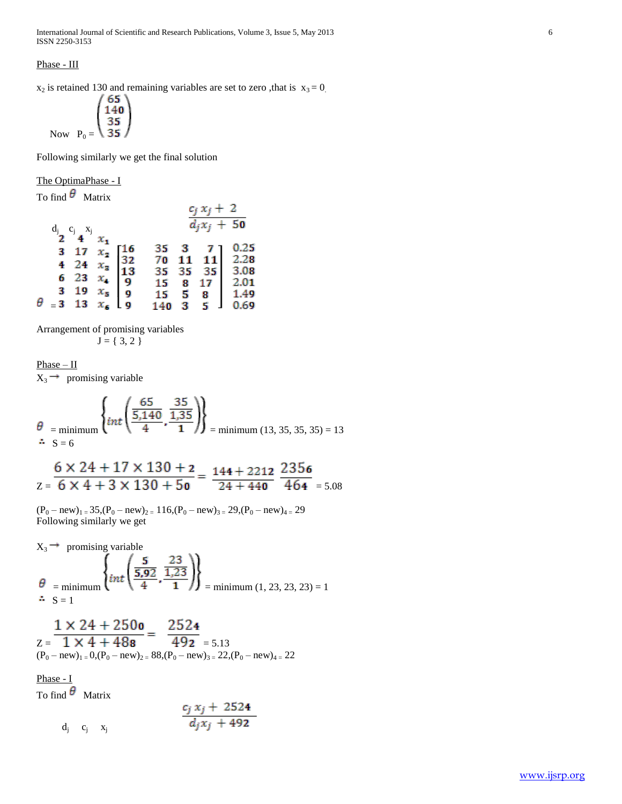International Journal of Scientific and Research Publications, Volume 3, Issue 5, May 2013 6 ISSN 2250-3153

Phase - III

 $x_2$  is retained 130 and remaining variables are set to zero, that is  $x_3 = 0$ .

Now 
$$
P_0 = \begin{pmatrix} 65 \\ 140 \\ 35 \\ 35 \end{pmatrix}
$$

Following similarly we get the final solution

The OptimaPhase - I

To find  $\theta$  Matrix

|   |                               |                                                                                                                                                                                            |               | $c_j x_j + 2$<br>$\overline{d_jx_j+50}$                                                                                                       |                      |
|---|-------------------------------|--------------------------------------------------------------------------------------------------------------------------------------------------------------------------------------------|---------------|-----------------------------------------------------------------------------------------------------------------------------------------------|----------------------|
| θ | $a_j$ $a_j$ $a_j$ $x_j$ $x_i$ | $\begin{array}{ccc}\n2 & 1 & x_1 \\ 3 & 17 & x_2 \\ 4 & 24 & x_3 \\ 6 & 23 & x_4 \\ 3 & 19 & x_5 \\ =3 & 13 & x_6\n\end{array}$ $\begin{bmatrix}\n16 \\ 32 \\ 13 \\ 9 \\ 9\n\end{bmatrix}$ | $140 \quad 3$ | 35 3 7 1<br>70 11 11<br>35 35 35<br>$\begin{array}{ c c c c }\n 15 & 8 & 17 & 2.01 \\  15 & 5 & 8 & 1.49 \\  140 & 3 & 5 & 0.69\n\end{array}$ | 0.25<br>2.28<br>3.08 |

Arrangement of promising variables  $J = \{ 3, 2 \}$ 

 $Phase - II$ 

 $X_3 \rightarrow$  promising variable

$$
\theta = \text{minimum} \left\{ int \left( \frac{65}{\frac{5,140}{4}}, \frac{35}{\frac{1,35}{1}} \right) \right\} = \text{minimum} \ (13, 35, 35, 35) = 13
$$

$$
\frac{6 \times 24 + 17 \times 130 + 2}{2 = 6 \times 4 + 3 \times 130 + 50} = \frac{144 + 2212}{24 + 440} \frac{2356}{464} = 5.08
$$

 $(P_0 - new)_{1} = 35, (P_0 - new)_{2} = 116, (P_0 - new)_{3} = 29, (P_0 - new)_{4} = 29$ Following similarly we get

 $X_3 \rightarrow$  promising variable

$$
\theta = \text{minimum} \left\{ int \left( \frac{5}{\frac{5.92}{4}}, \frac{23}{1.23} \right) \right\} = \text{minimum} \ (1, 23, 23, 23) = 1
$$
\n  
\n
$$
\therefore S = 1
$$

$$
\frac{1 \times 24 + 250\,\text{o}}{(P_0 - new)_{1}} = \frac{252\,\text{4}}{492\,\text{ }} = 5.13
$$
\n
$$
(P_0 - new)_{1} = 0, (P_0 - new)_{2} = 88, (P_0 - new)_{3} = 22, (P_0 - new)_{4} = 22
$$

Phase - I

To find  $\theta$  Matrix

$$
\frac{c_j x_j + 2524}{d_j x_j + 492}
$$